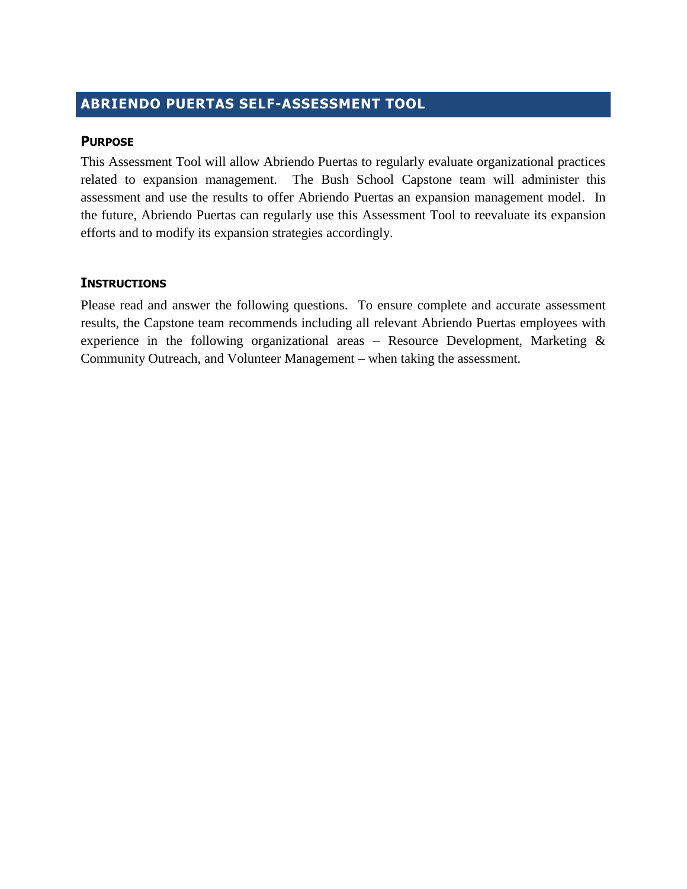## **ABRIENDO PUERTAS SELF-ASSESSMENT TOOL**

## **PURPOSE**

This Assessment Tool will allow Abriendo Puertas to regularly evaluate organizational practices related to expansion management. The Bush School Capstone team will administer this assessment and use the results to offer Abriendo Puertas an expansion management model. In the future, Abriendo Puertas can regularly use this Assessment Tool to reevaluate its expansion efforts and to modify its expansion strategies accordingly.

## **INSTRUCTIONS**

Please read and answer the following questions. To ensure complete and accurate assessment results, the Capstone team recommends including all relevant Abriendo Puertas employees with experience in the following organizational areas – Resource Development, Marketing  $\&$ Community Outreach, and Volunteer Management – when taking the assessment.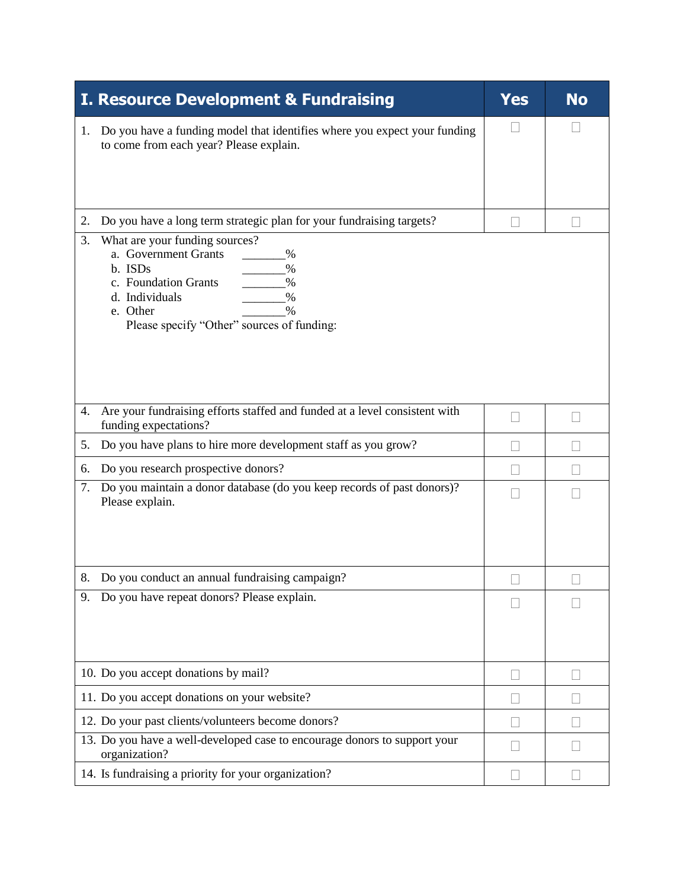| <b>I. Resource Development &amp; Fundraising</b>                                                                                                                                                                             | <b>Yes</b> | <b>No</b> |
|------------------------------------------------------------------------------------------------------------------------------------------------------------------------------------------------------------------------------|------------|-----------|
| Do you have a funding model that identifies where you expect your funding<br>1.<br>to come from each year? Please explain.                                                                                                   |            |           |
| Do you have a long term strategic plan for your fundraising targets?<br>2.                                                                                                                                                   |            |           |
| What are your funding sources?<br>3.<br>a. Government Grants<br>$\%$<br>b. ISDs<br>$\%$<br>c. Foundation Grants<br>$\frac{0}{0}$<br>d. Individuals<br>$\%$<br>e. Other<br>$\%$<br>Please specify "Other" sources of funding: |            |           |
| Are your fundraising efforts staffed and funded at a level consistent with<br>4.<br>funding expectations?                                                                                                                    |            |           |
| Do you have plans to hire more development staff as you grow?<br>5.                                                                                                                                                          |            |           |
| Do you research prospective donors?<br>6.                                                                                                                                                                                    |            |           |
| Do you maintain a donor database (do you keep records of past donors)?<br>7.<br>Please explain.                                                                                                                              |            |           |
| 8. Do you conduct an annual fundraising campaign?                                                                                                                                                                            |            |           |
| Do you have repeat donors? Please explain.<br>9.                                                                                                                                                                             |            |           |
| 10. Do you accept donations by mail?                                                                                                                                                                                         |            |           |
| 11. Do you accept donations on your website?                                                                                                                                                                                 |            |           |
| 12. Do your past clients/volunteers become donors?                                                                                                                                                                           |            |           |
| 13. Do you have a well-developed case to encourage donors to support your<br>organization?                                                                                                                                   |            |           |
| 14. Is fundraising a priority for your organization?                                                                                                                                                                         |            |           |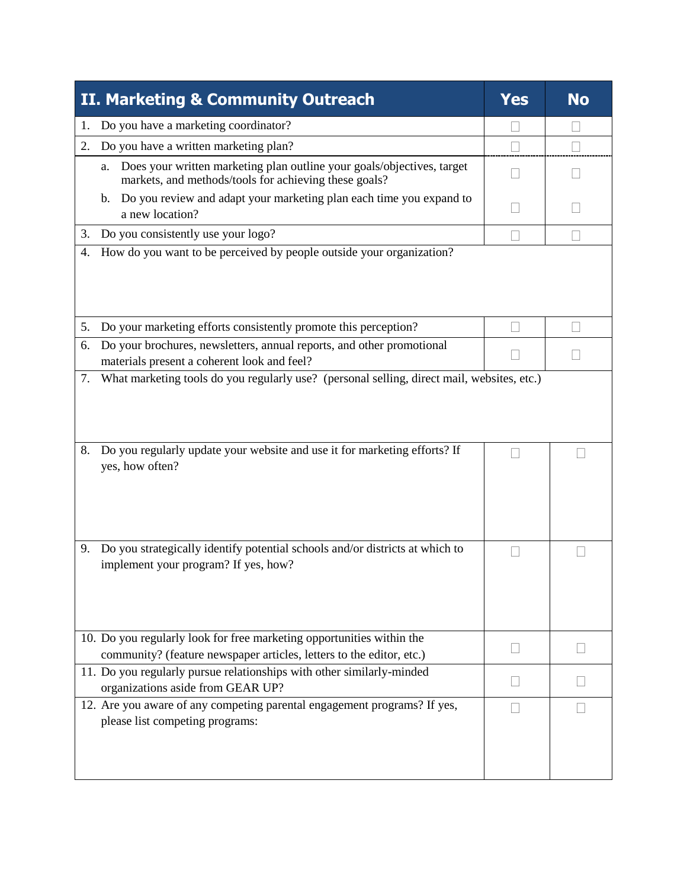| II. Marketing & Community Outreach                                                                                                            | <b>Yes</b> | <b>No</b> |
|-----------------------------------------------------------------------------------------------------------------------------------------------|------------|-----------|
| Do you have a marketing coordinator?<br>1.                                                                                                    |            |           |
| Do you have a written marketing plan?<br>2.                                                                                                   |            |           |
| Does your written marketing plan outline your goals/objectives, target<br>a.<br>markets, and methods/tools for achieving these goals?         |            |           |
| Do you review and adapt your marketing plan each time you expand to<br>b.<br>a new location?                                                  |            |           |
| Do you consistently use your logo?<br>3.                                                                                                      |            |           |
| How do you want to be perceived by people outside your organization?<br>4.                                                                    |            |           |
| Do your marketing efforts consistently promote this perception?<br>5.                                                                         |            |           |
| Do your brochures, newsletters, annual reports, and other promotional<br>6.<br>materials present a coherent look and feel?                    |            |           |
| Do you regularly update your website and use it for marketing efforts? If<br>8.<br>yes, how often?                                            |            |           |
| Do you strategically identify potential schools and/or districts at which to<br>9.<br>implement your program? If yes, how?                    |            |           |
| 10. Do you regularly look for free marketing opportunities within the<br>community? (feature newspaper articles, letters to the editor, etc.) |            |           |
| 11. Do you regularly pursue relationships with other similarly-minded<br>organizations aside from GEAR UP?                                    |            |           |
| 12. Are you aware of any competing parental engagement programs? If yes,<br>please list competing programs:                                   |            |           |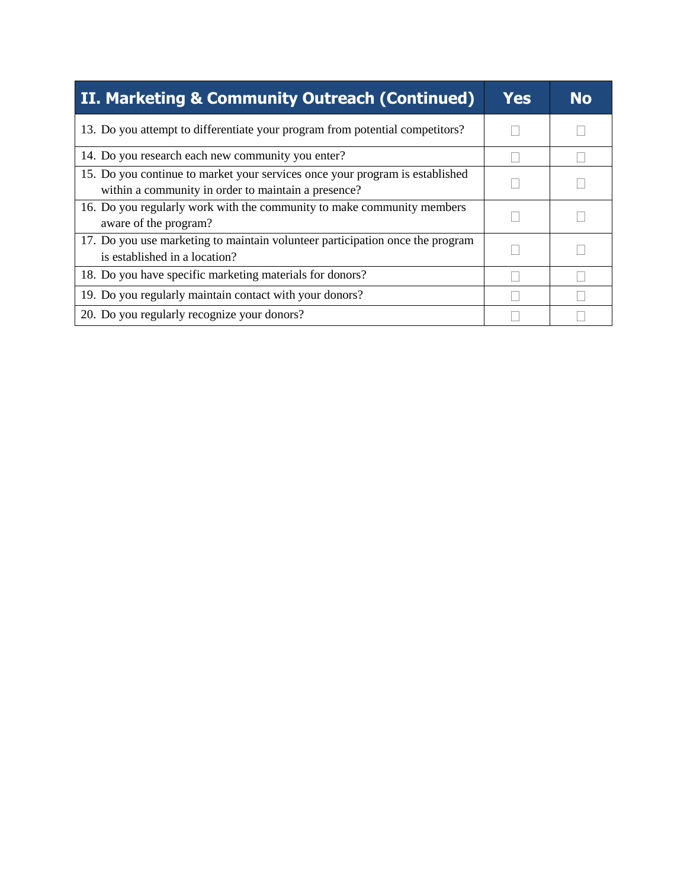| II. Marketing & Community Outreach (Continued)                                                                                      | <b>Yes</b> | <b>No</b> |
|-------------------------------------------------------------------------------------------------------------------------------------|------------|-----------|
| 13. Do you attempt to differentiate your program from potential competitors?                                                        |            |           |
| 14. Do you research each new community you enter?                                                                                   |            |           |
| 15. Do you continue to market your services once your program is established<br>within a community in order to maintain a presence? |            |           |
| 16. Do you regularly work with the community to make community members<br>aware of the program?                                     |            |           |
| 17. Do you use marketing to maintain volunteer participation once the program<br>is established in a location?                      |            |           |
| 18. Do you have specific marketing materials for donors?                                                                            |            |           |
| 19. Do you regularly maintain contact with your donors?                                                                             |            |           |
| 20. Do you regularly recognize your donors?                                                                                         |            |           |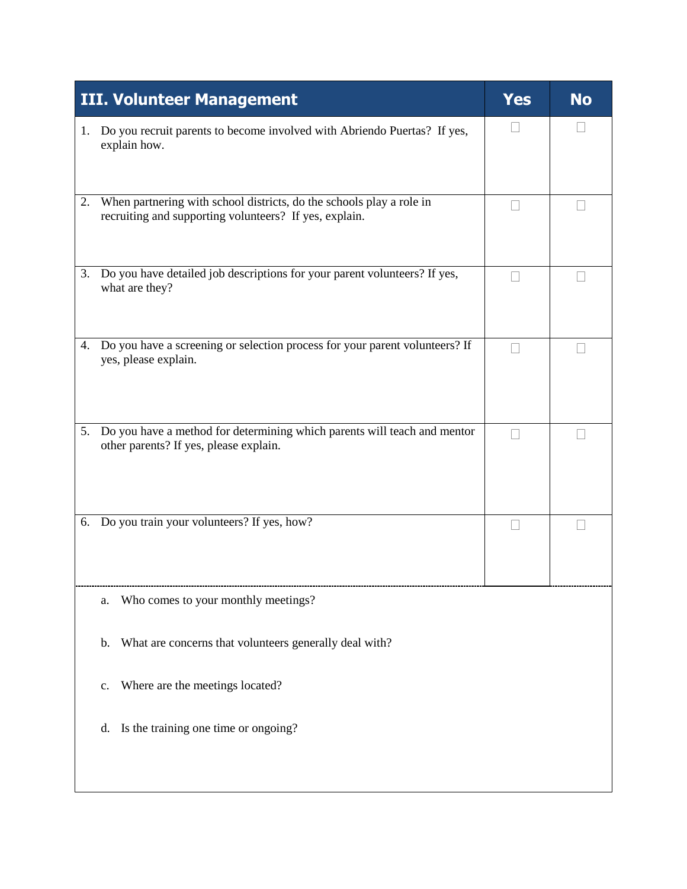| <b>III. Volunteer Management</b>                                                                                                     | Yes | <b>No</b> |
|--------------------------------------------------------------------------------------------------------------------------------------|-----|-----------|
| Do you recruit parents to become involved with Abriendo Puertas? If yes,<br>1.<br>explain how.                                       |     |           |
| When partnering with school districts, do the schools play a role in<br>2.<br>recruiting and supporting volunteers? If yes, explain. |     |           |
| Do you have detailed job descriptions for your parent volunteers? If yes,<br>3.<br>what are they?                                    |     |           |
| Do you have a screening or selection process for your parent volunteers? If<br>4.<br>yes, please explain.                            |     |           |
| Do you have a method for determining which parents will teach and mentor<br>5.<br>other parents? If yes, please explain.             |     |           |
| 6. Do you train your volunteers? If yes, how?                                                                                        |     |           |
| Who comes to your monthly meetings?<br>a.                                                                                            |     |           |
| What are concerns that volunteers generally deal with?<br>b.                                                                         |     |           |
| Where are the meetings located?<br>c.                                                                                                |     |           |
| Is the training one time or ongoing?<br>d.                                                                                           |     |           |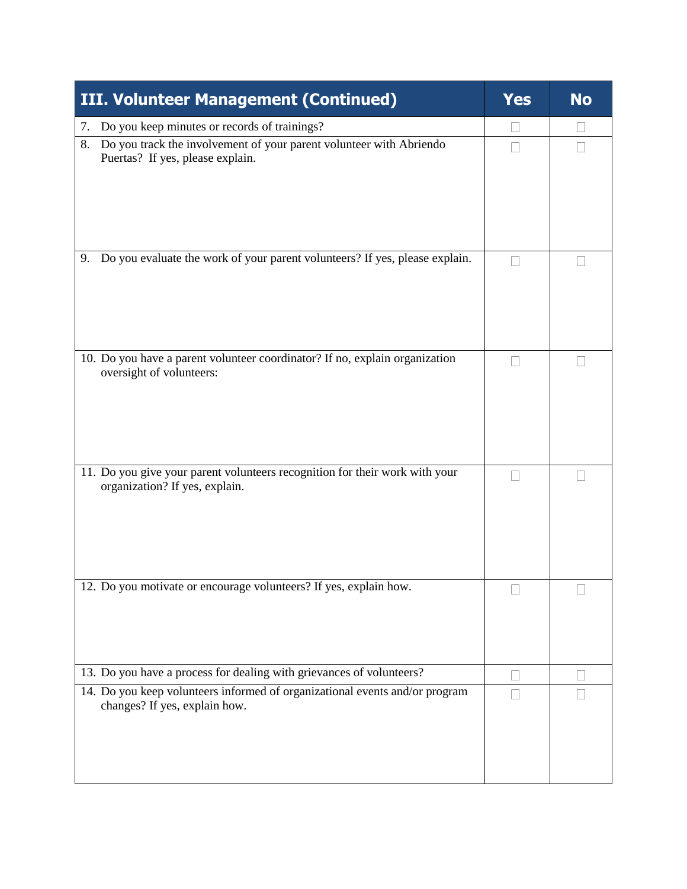| <b>III. Volunteer Management (Continued)</b>                                                                  | <b>Yes</b> | <b>No</b> |
|---------------------------------------------------------------------------------------------------------------|------------|-----------|
| Do you keep minutes or records of trainings?<br>7.                                                            |            |           |
| Do you track the involvement of your parent volunteer with Abriendo<br>8.<br>Puertas? If yes, please explain. |            |           |
| Do you evaluate the work of your parent volunteers? If yes, please explain.<br>9.                             |            |           |
| 10. Do you have a parent volunteer coordinator? If no, explain organization<br>oversight of volunteers:       |            |           |
| 11. Do you give your parent volunteers recognition for their work with your<br>organization? If yes, explain. |            |           |
| 12. Do you motivate or encourage volunteers? If yes, explain how.                                             |            |           |
| 13. Do you have a process for dealing with grievances of volunteers?                                          |            |           |
| 14. Do you keep volunteers informed of organizational events and/or program<br>changes? If yes, explain how.  |            |           |